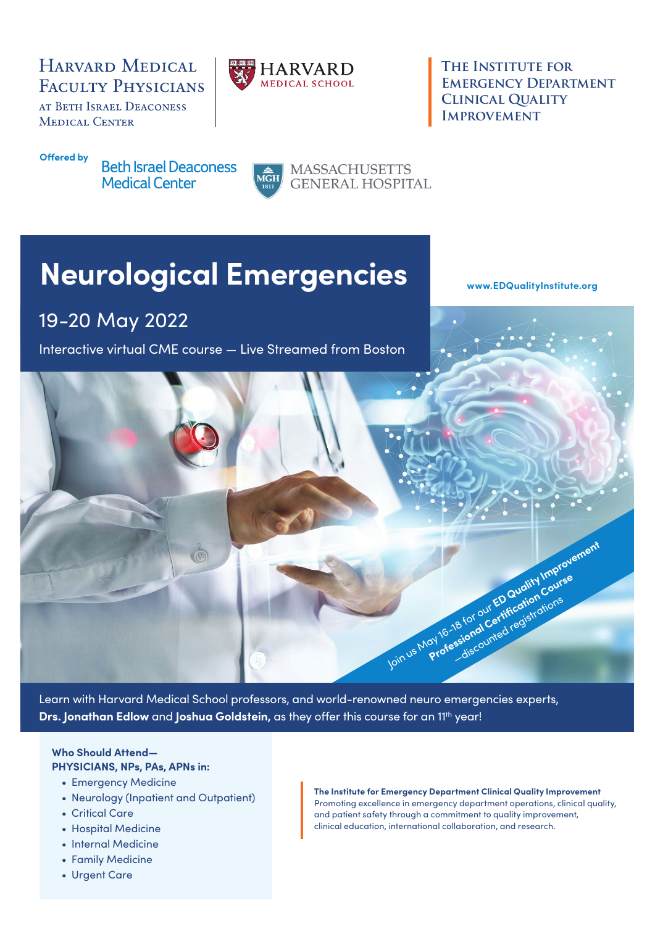### HARVARD MEDICAL **FACULTY PHYSICIANS**

AT BETH ISRAEL DEACONESS **MEDICAL CENTER** 



**The Institute for EMERGENCY DEPARTMENT Clinical Quality IMPROVEMENT** 

#### **Offered by**

**Beth Israel Deaconess Medical Center** 



**MASSACHUSETTS GENERAL HOSPITAL** 

# **Neurological Emergencies**

19-20 May 2022

Interactive virtual CME course — Live Streamed from Boston

**[www.EDQualityInstitute.org](http://www.EDQualityInstitute.org)**



Learn with Harvard Medical School professors, and world-renowned neuro emergencies experts, **Drs. Jonathan Edlow** and **Joshua Goldstein**, as they offer this course for an 11<sup>th</sup> year!

#### **Who Should Attend—**

**PHYSICIANS, NPs, PAs, APNs in:**

- Emergency Medicine
- Neurology (Inpatient and Outpatient)
- Critical Care
- Hospital Medicine
- Internal Medicine
- Family Medicine
- Urgent Care

**The Institute for Emergency Department Clinical Quality Improvement** Promoting excellence in emergency department operations, clinical quality, and patient safety through a commitment to quality improvement, clinical education, international collaboration, and research.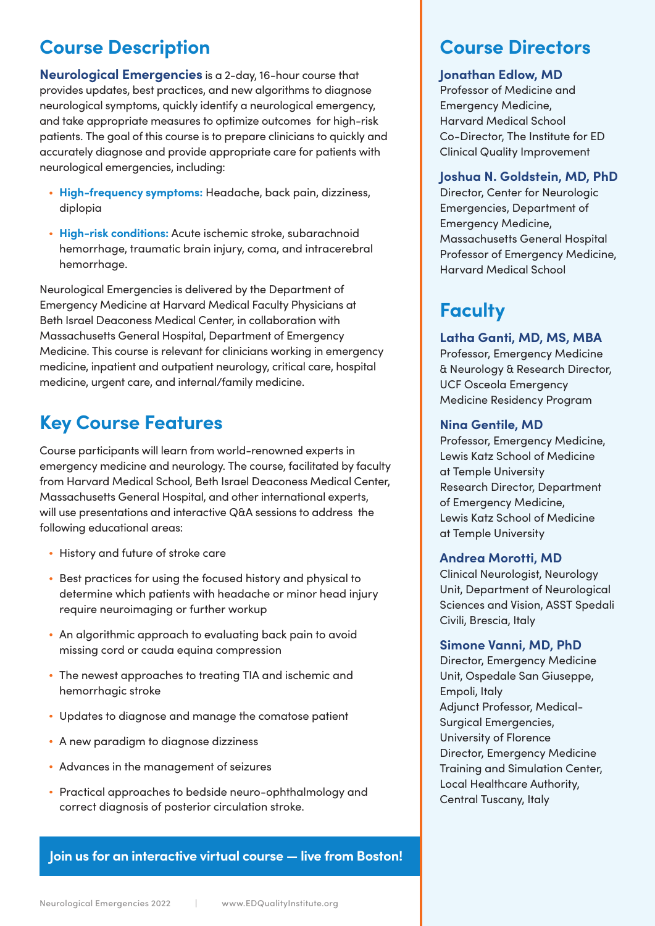### **Course Description**

**Neurological Emergencies** is a 2-day, 16-hour course that provides updates, best practices, and new algorithms to diagnose neurological symptoms, quickly identify a neurological emergency, and take appropriate measures to optimize outcomes for high-risk patients. The goal of this course is to prepare clinicians to quickly and accurately diagnose and provide appropriate care for patients with neurological emergencies, including:

- **High-frequency symptoms:** Headache, back pain, dizziness, diplopia
- **High-risk conditions:** Acute ischemic stroke, subarachnoid hemorrhage, traumatic brain injury, coma, and intracerebral hemorrhage.

Neurological Emergencies is delivered by the Department of Emergency Medicine at Harvard Medical Faculty Physicians at Beth Israel Deaconess Medical Center, in collaboration with Massachusetts General Hospital, Department of Emergency Medicine. This course is relevant for clinicians working in emergency medicine, inpatient and outpatient neurology, critical care, hospital medicine, urgent care, and internal/family medicine.

# **Key Course Features**

Course participants will learn from world-renowned experts in emergency medicine and neurology. The course, facilitated by faculty from Harvard Medical School, Beth Israel Deaconess Medical Center, Massachusetts General Hospital, and other international experts, will use presentations and interactive Q&A sessions to address the following educational areas:

- History and future of stroke care
- Best practices for using the focused history and physical to determine which patients with headache or minor head injury require neuroimaging or further workup
- An algorithmic approach to evaluating back pain to avoid missing cord or cauda equina compression
- The newest approaches to treating TIA and ischemic and hemorrhagic stroke
- Updates to diagnose and manage the comatose patient
- A new paradigm to diagnose dizziness
- Advances in the management of seizures
- Practical approaches to bedside neuro-ophthalmology and correct diagnosis of posterior circulation stroke.

**Join us for an interactive virtual course — live from Boston!**

### **Course Directors**

#### **Jonathan Edlow, MD**

Professor of Medicine and Emergency Medicine, Harvard Medical School Co-Director, The Institute for ED Clinical Quality Improvement

#### **Joshua N. Goldstein, MD, PhD**

Director, Center for Neurologic Emergencies, Department of Emergency Medicine, Massachusetts General Hospital Professor of Emergency Medicine, Harvard Medical School

# **Faculty**

#### **Latha Ganti, MD, MS, MBA**

Professor, Emergency Medicine & Neurology & Research Director, UCF Osceola Emergency Medicine Residency Program

#### **Nina Gentile, MD**

Professor, Emergency Medicine, Lewis Katz School of Medicine at Temple University Research Director, Department of Emergency Medicine, Lewis Katz School of Medicine at Temple University

#### **Andrea Morotti, MD**

Clinical Neurologist, Neurology Unit, Department of Neurological Sciences and Vision, ASST Spedali Civili, Brescia, Italy

#### **Simone Vanni, MD, PhD**

Director, Emergency Medicine Unit, Ospedale San Giuseppe, Empoli, Italy Adjunct Professor, Medical-Surgical Emergencies, University of Florence Director, Emergency Medicine Training and Simulation Center, Local Healthcare Authority, Central Tuscany, Italy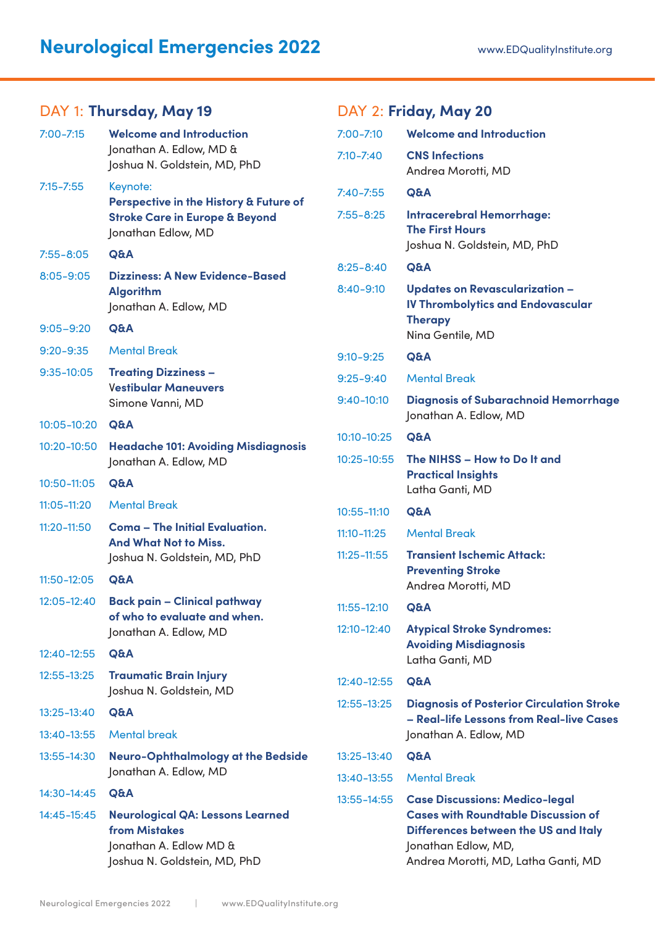| DAY 1: Thursday, May 19<br>D, |                 |                                                                 |      |
|-------------------------------|-----------------|-----------------------------------------------------------------|------|
|                               | $7:00 - 7:15$   | <b>Welcome and Introduction</b>                                 | 7:C  |
|                               |                 | Jonathan A. Edlow, MD &                                         | 7:1  |
|                               |                 | Joshua N. Goldstein, MD, PhD                                    |      |
|                               | $7:15 - 7:55$   | Keynote:<br>Perspective in the History & Future of              | 7:4  |
|                               |                 | <b>Stroke Care in Europe &amp; Beyond</b>                       | 7:5  |
|                               |                 | Jonathan Edlow, MD                                              |      |
|                               | $7:55 - 8:05$   | Q&A                                                             |      |
|                               | $8:05 - 9:05$   | <b>Dizziness: A New Evidence-Based</b>                          | 8:2  |
|                               |                 | <b>Algorithm</b><br>Jonathan A. Edlow, MD                       | 8:4  |
|                               | $9:05 - 9:20$   | Q&A                                                             |      |
|                               | $9:20 - 9:35$   | <b>Mental Break</b>                                             |      |
|                               |                 |                                                                 | 9:1  |
|                               | $9:35-10:05$    | <b>Treating Dizziness -</b><br><b>Vestibular Maneuvers</b>      | 9:2  |
|                               |                 | Simone Vanni, MD                                                | 9:4  |
|                               | 10:05-10:20     | Q&A                                                             |      |
|                               | 10:20-10:50     | <b>Headache 101: Avoiding Misdiagnosis</b>                      | 10:  |
|                               |                 | Jonathan A. Edlow, MD                                           | 10:  |
|                               | 10:50-11:05     | Q&A                                                             |      |
|                               | $11:05 - 11:20$ | <b>Mental Break</b>                                             | 10:  |
|                               | $11:20 - 11:50$ | <b>Coma - The Initial Evaluation.</b>                           | 11:1 |
|                               |                 | <b>And What Not to Miss.</b><br>Joshua N. Goldstein, MD, PhD    | 11:2 |
|                               | 11:50-12:05     | Q&A                                                             |      |
|                               | 12:05-12:40     | <b>Back pain - Clinical pathway</b>                             |      |
|                               |                 | of who to evaluate and when.                                    | 11:5 |
|                               |                 | Jonathan A. Edlow, MD                                           | 12:  |
|                               | 12:40-12:55     | Q&A                                                             |      |
|                               | $12:55 - 13:25$ | <b>Traumatic Brain Injury</b>                                   | 12:  |
|                               |                 | Joshua N. Goldstein, MD                                         | 12:  |
|                               | 13:25-13:40     | Q&A                                                             |      |
|                               | 13:40-13:55     | <b>Mental break</b>                                             |      |
|                               | 13:55-14:30     | <b>Neuro-Ophthalmology at the Bedside</b>                       | 13:  |
|                               |                 | Jonathan A. Edlow, MD                                           | 13:  |
|                               | 14:30-14:45     | Q&A                                                             | 13:  |
|                               | 14:45-15:45     | <b>Neurological QA: Lessons Learned</b><br><b>from Mistakes</b> |      |
|                               |                 | $h$ ngthan $\Lambda$ Edlow $M\cap H$                            |      |

#### Jonathan A. Edlow MD & Joshua N. Goldstein, MD, PhD

DAY 2: **Friday, May 20**

| $7:00 - 7:10$   | <b>Welcome and Introduction</b>                                                                                                                                                           |
|-----------------|-------------------------------------------------------------------------------------------------------------------------------------------------------------------------------------------|
| $7:10 - 7:40$   | <b>CNS Infections</b><br>Andrea Morotti, MD                                                                                                                                               |
| $7:40 - 7:55$   | Q&A                                                                                                                                                                                       |
| $7:55 - 8:25$   | <b>Intracerebral Hemorrhage:</b><br><b>The First Hours</b><br>Joshua N. Goldstein, MD, PhD                                                                                                |
| $8:25 - 8:40$   | Q&A                                                                                                                                                                                       |
| 8:40-9:10       | <b>Updates on Revascularization -</b><br><b>IV Thrombolytics and Endovascular</b><br><b>Therapy</b><br>Nina Gentile, MD                                                                   |
| $9:10 - 9:25$   | <b>Q&amp;A</b>                                                                                                                                                                            |
| $9:25 - 9:40$   | <b>Mental Break</b>                                                                                                                                                                       |
| $9:40-10:10$    | <b>Diagnosis of Subarachnoid Hemorrhage</b><br>Jonathan A. Edlow, MD                                                                                                                      |
| 10:10-10:25     | Q&A                                                                                                                                                                                       |
| $10:25 - 10:55$ | The NIHSS - How to Do It and<br><b>Practical Insights</b><br>Latha Ganti, MD                                                                                                              |
| $10:55 - 11:10$ | Q&A                                                                                                                                                                                       |
| $11:10 - 11:25$ | <b>Mental Break</b>                                                                                                                                                                       |
| $11:25 - 11:55$ | <b>Transient Ischemic Attack:</b><br><b>Preventing Stroke</b><br>Andrea Morotti, MD                                                                                                       |
| $11:55 - 12:10$ | <b>Q&amp;A</b>                                                                                                                                                                            |
| 12:10-12:40     | <b>Atypical Stroke Syndromes:</b><br><b>Avoiding Misdiagnosis</b><br>Latha Ganti, MD                                                                                                      |
| $12:40 - 12:55$ | Q&A                                                                                                                                                                                       |
| 12:55-13:25     | <b>Diagnosis of Posterior Circulation Stroke</b><br>- Real-life Lessons from Real-live Cases<br>Jonathan A. Edlow, MD                                                                     |
| 13:25-13:40     | Q&A                                                                                                                                                                                       |
| 13:40-13:55     | <b>Mental Break</b>                                                                                                                                                                       |
| 13:55–14:55     | <b>Case Discussions: Medico-legal</b><br><b>Cases with Roundtable Discussion of</b><br>Differences between the US and Italy<br>Jonathan Edlow, MD,<br>Andrea Morotti, MD, Latha Ganti, MD |